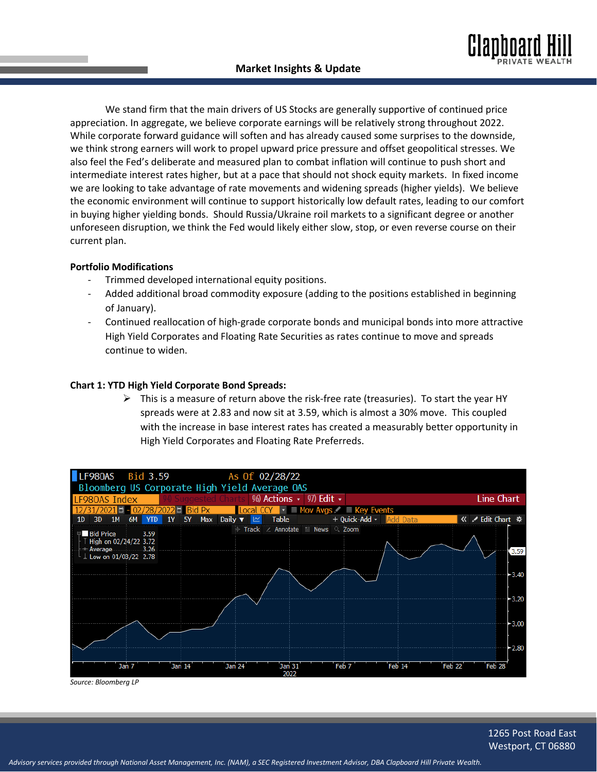We stand firm that the main drivers of US Stocks are generally supportive of continued price appreciation. In aggregate, we believe corporate earnings will be relatively strong throughout 2022. While corporate forward guidance will soften and has already caused some surprises to the downside, we think strong earners will work to propel upward price pressure and offset geopolitical stresses. We also feel the Fed's deliberate and measured plan to combat inflation will continue to push short and intermediate interest rates higher, but at a pace that should not shock equity markets. In fixed income we are looking to take advantage of rate movements and widening spreads (higher yields). We believe the economic environment will continue to support historically low default rates, leading to our comfort in buying higher yielding bonds. Should Russia/Ukraine roil markets to a significant degree or another unforeseen disruption, we think the Fed would likely either slow, stop, or even reverse course on their current plan.

## **Portfolio Modifications**

- Trimmed developed international equity positions.
- Added additional broad commodity exposure (adding to the positions established in beginning of January).
- Continued reallocation of high-grade corporate bonds and municipal bonds into more attractive High Yield Corporates and Floating Rate Securities as rates continue to move and spreads continue to widen.

## **Chart 1: YTD High Yield Corporate Bond Spreads:**

 $\triangleright$  This is a measure of return above the risk-free rate (treasuries). To start the year HY spreads were at 2.83 and now sit at 3.59, which is almost a 30% move. This coupled with the increase in base interest rates has created a measurably better opportunity in High Yield Corporates and Floating Rate Preferreds.



*Source: Bloomberg LP*